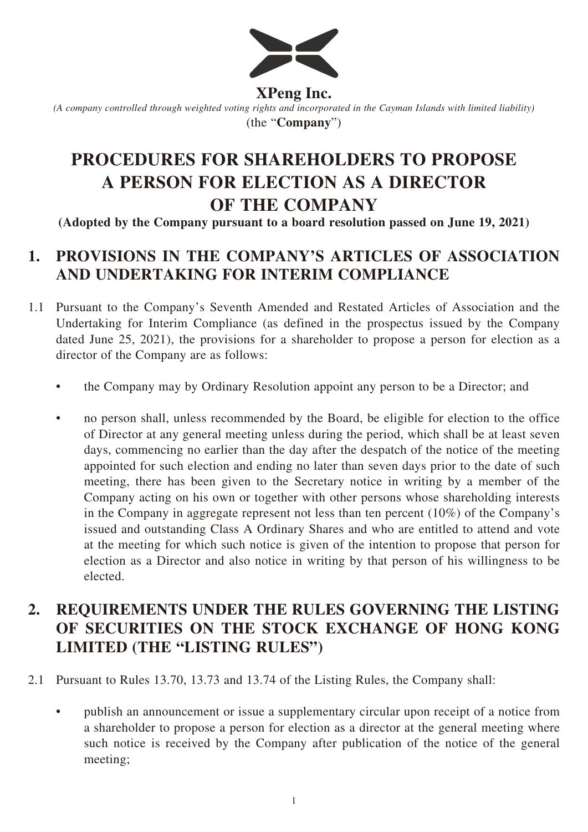

**XPeng Inc.**

*(A company controlled through weighted voting rights and incorporated in the Cayman Islands with limited liability)* (the "**Company**")

# **PROCEDURES FOR SHAREHOLDERS TO PROPOSE A PERSON FOR ELECTION AS A DIRECTOR OF THE COMPANY**

**(Adopted by the Company pursuant to a board resolution passed on June 19, 2021)**

## **1. PROVISIONS IN THE COMPANY'S ARTICLES OF ASSOCIATION AND UNDERTAKING FOR INTERIM COMPLIANCE**

- 1.1 Pursuant to the Company's Seventh Amended and Restated Articles of Association and the Undertaking for Interim Compliance (as defined in the prospectus issued by the Company dated June 25, 2021), the provisions for a shareholder to propose a person for election as a director of the Company are as follows:
	- the Company may by Ordinary Resolution appoint any person to be a Director; and
	- no person shall, unless recommended by the Board, be eligible for election to the office of Director at any general meeting unless during the period, which shall be at least seven days, commencing no earlier than the day after the despatch of the notice of the meeting appointed for such election and ending no later than seven days prior to the date of such meeting, there has been given to the Secretary notice in writing by a member of the Company acting on his own or together with other persons whose shareholding interests in the Company in aggregate represent not less than ten percent (10%) of the Company's issued and outstanding Class A Ordinary Shares and who are entitled to attend and vote at the meeting for which such notice is given of the intention to propose that person for election as a Director and also notice in writing by that person of his willingness to be elected.

## **2. REQUIREMENTS UNDER THE RULES GOVERNING THE LISTING OF SECURITIES ON THE STOCK EXCHANGE OF HONG KONG LIMITED (THE "LISTING RULES")**

2.1 Pursuant to Rules 13.70, 13.73 and 13.74 of the Listing Rules, the Company shall:

• publish an announcement or issue a supplementary circular upon receipt of a notice from a shareholder to propose a person for election as a director at the general meeting where such notice is received by the Company after publication of the notice of the general meeting;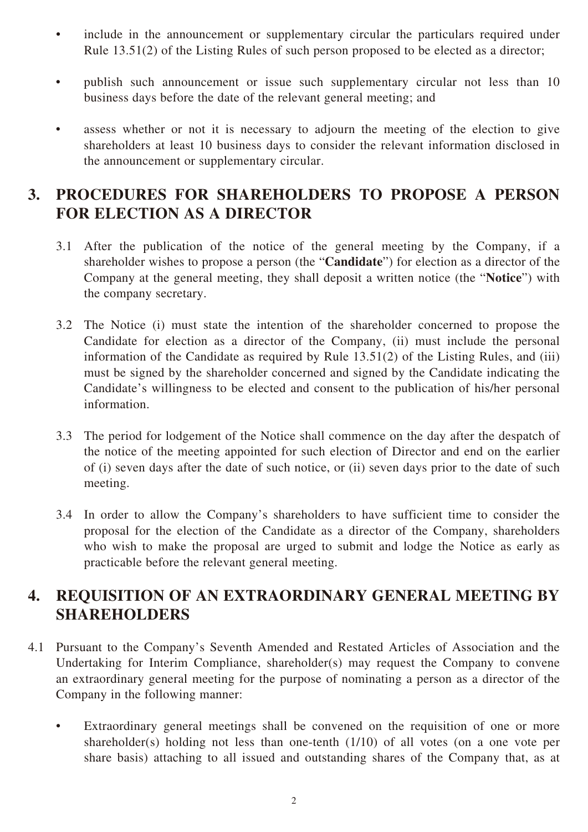- include in the announcement or supplementary circular the particulars required under Rule 13.51(2) of the Listing Rules of such person proposed to be elected as a director;
- publish such announcement or issue such supplementary circular not less than 10 business days before the date of the relevant general meeting; and
- assess whether or not it is necessary to adjourn the meeting of the election to give shareholders at least 10 business days to consider the relevant information disclosed in the announcement or supplementary circular.

#### **3. PROCEDURES FOR SHAREHOLDERS TO PROPOSE A PERSON FOR ELECTION AS A DIRECTOR**

- 3.1 After the publication of the notice of the general meeting by the Company, if a shareholder wishes to propose a person (the "**Candidate**") for election as a director of the Company at the general meeting, they shall deposit a written notice (the "**Notice**") with the company secretary.
- 3.2 The Notice (i) must state the intention of the shareholder concerned to propose the Candidate for election as a director of the Company, (ii) must include the personal information of the Candidate as required by Rule 13.51(2) of the Listing Rules, and (iii) must be signed by the shareholder concerned and signed by the Candidate indicating the Candidate's willingness to be elected and consent to the publication of his/her personal information.
- 3.3 The period for lodgement of the Notice shall commence on the day after the despatch of the notice of the meeting appointed for such election of Director and end on the earlier of (i) seven days after the date of such notice, or (ii) seven days prior to the date of such meeting.
- 3.4 In order to allow the Company's shareholders to have sufficient time to consider the proposal for the election of the Candidate as a director of the Company, shareholders who wish to make the proposal are urged to submit and lodge the Notice as early as practicable before the relevant general meeting.

#### **4. REQUISITION OF AN EXTRAORDINARY GENERAL MEETING BY SHAREHOLDERS**

- 4.1 Pursuant to the Company's Seventh Amended and Restated Articles of Association and the Undertaking for Interim Compliance, shareholder(s) may request the Company to convene an extraordinary general meeting for the purpose of nominating a person as a director of the Company in the following manner:
	- Extraordinary general meetings shall be convened on the requisition of one or more shareholder(s) holding not less than one-tenth (1/10) of all votes (on a one vote per share basis) attaching to all issued and outstanding shares of the Company that, as at